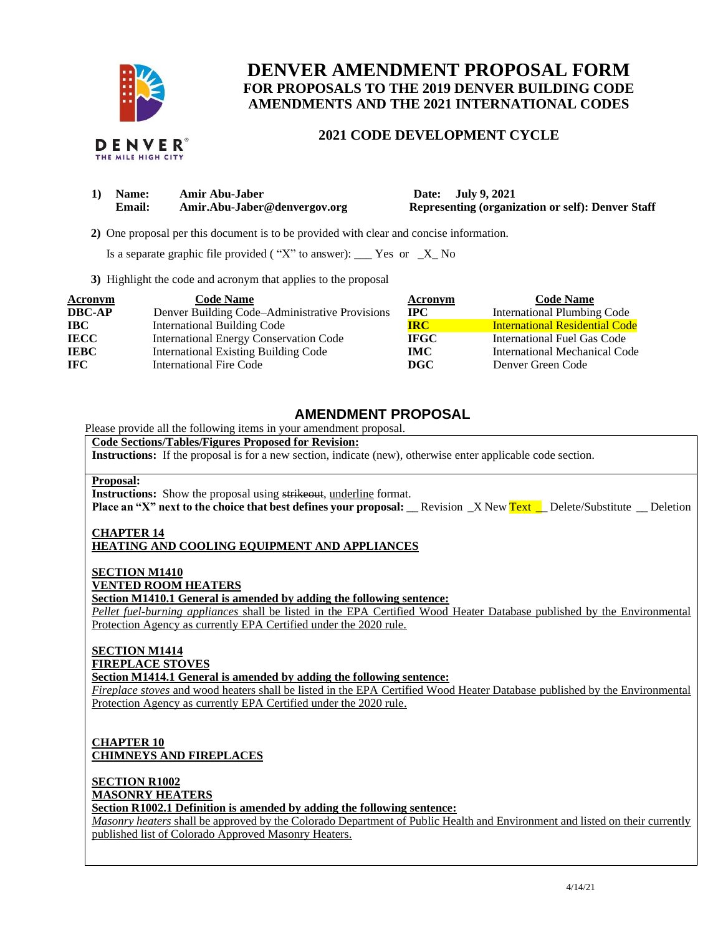

# **DENVER AMENDMENT PROPOSAL FORM FOR PROPOSALS TO THE 2019 DENVER BUILDING CODE AMENDMENTS AND THE 2021 INTERNATIONAL CODES**

## **2021 CODE DEVELOPMENT CYCLE**

|  |                    | DENVER® |
|--|--------------------|---------|
|  | THE MILE HIGH CITY |         |

| 1) Name:      | Amir Abu-Jaber               | Date: July 9, 2021                                       |
|---------------|------------------------------|----------------------------------------------------------|
| <b>Email:</b> | Amir.Abu-Jaber@denvergov.org | <b>Representing (organization or self): Denver Staff</b> |

 **2)** One proposal per this document is to be provided with clear and concise information.

Is a separate graphic file provided ("X" to answer): \_\_\_ Yes or  $-X$  No

**3)** Highlight the code and acronym that applies to the proposal

| <b>Acronym</b> | <b>Code Name</b>                               | <b>Acronym</b> | <b>Code Name</b>                      |
|----------------|------------------------------------------------|----------------|---------------------------------------|
| <b>DBC-AP</b>  | Denver Building Code-Administrative Provisions | <b>IPC</b>     | <b>International Plumbing Code</b>    |
| <b>IBC</b>     | <b>International Building Code</b>             | <b>IRC</b>     | <b>International Residential Code</b> |
| <b>IECC</b>    | <b>International Energy Conservation Code</b>  | <b>IFGC</b>    | <b>International Fuel Gas Code</b>    |
| <b>IEBC</b>    | <b>International Existing Building Code</b>    | <b>IMC</b>     | International Mechanical Code         |
| <b>IFC</b>     | International Fire Code                        | DGC            | Denver Green Code                     |

# **AMENDMENT PROPOSAL**

Please provide all the following items in your amendment proposal.

## **Code Sections/Tables/Figures Proposed for Revision:**

**Instructions:** If the proposal is for a new section, indicate (new), otherwise enter applicable code section.

### **Proposal:**

**Instructions:** Show the proposal using strikeout, underline format.

**Place an "X" next to the choice that best defines your proposal:** \_\_Revision \_X New Text \_\_Delete/Substitute \_\_Deletion

#### **CHAPTER 14 HEATING AND COOLING EQUIPMENT AND APPLIANCES**

**SECTION M1410 VENTED ROOM HEATERS**

**Section M1410.1 General is amended by adding the following sentence:**

*Pellet fuel-burning appliances* shall be listed in the EPA Certified Wood Heater Database published by the Environmental Protection Agency as currently EPA Certified under the 2020 rule.

#### **SECTION M1414 FIREPLACE STOVES**

**Section M1414.1 General is amended by adding the following sentence:**

*Fireplace stoves* and wood heaters shall be listed in the EPA Certified Wood Heater Database published by the Environmental Protection Agency as currently EPA Certified under the 2020 rule.

### **CHAPTER 10 CHIMNEYS AND FIREPLACES**

**SECTION R1002**

# **MASONRY HEATERS**

**Section R1002.1 Definition is amended by adding the following sentence:**

*Masonry heaters* shall be approved by the Colorado Department of Public Health and Environment and listed on their currently published list of Colorado Approved Masonry Heaters.